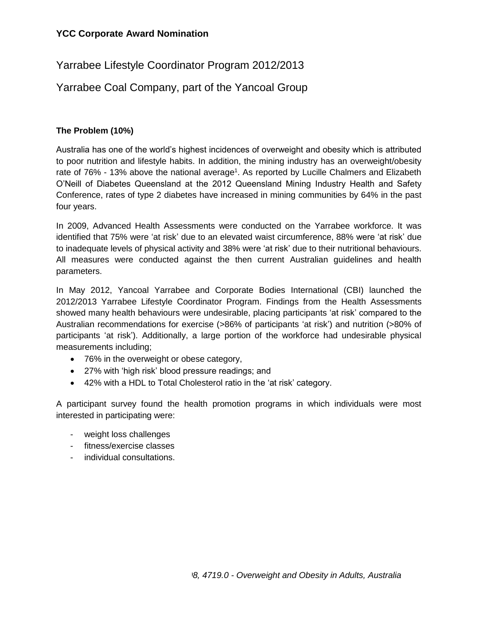# Yarrabee Lifestyle Coordinator Program 2012/2013

# Yarrabee Coal Company, part of the Yancoal Group

## **The Problem (10%)**

Australia has one of the world's highest incidences of overweight and obesity which is attributed to poor nutrition and lifestyle habits. In addition, the mining industry has an overweight/obesity rate of 76% - 13% above the national average<sup>1</sup>. As reported by Lucille Chalmers and Elizabeth O'Neill of Diabetes Queensland at the 2012 Queensland Mining Industry Health and Safety Conference, rates of type 2 diabetes have increased in mining communities by 64% in the past four years.

In 2009, Advanced Health Assessments were conducted on the Yarrabee workforce. It was identified that 75% were 'at risk' due to an elevated waist circumference, 88% were 'at risk' due to inadequate levels of physical activity and 38% were 'at risk' due to their nutritional behaviours. All measures were conducted against the then current Australian guidelines and health parameters.

In May 2012, Yancoal Yarrabee and Corporate Bodies International (CBI) launched the 2012/2013 Yarrabee Lifestyle Coordinator Program. Findings from the Health Assessments showed many health behaviours were undesirable, placing participants 'at risk' compared to the Australian recommendations for exercise (>86% of participants 'at risk') and nutrition (>80% of participants 'at risk'). Additionally, a large portion of the workforce had undesirable physical measurements including;

- 76% in the overweight or obese category,
- 27% with 'high risk' blood pressure readings; and
- 42% with a HDL to Total Cholesterol ratio in the 'at risk' category.

A participant survey found the health promotion programs in which individuals were most interested in participating were:

- weight loss challenges
- fitness/exercise classes
- individual consultations.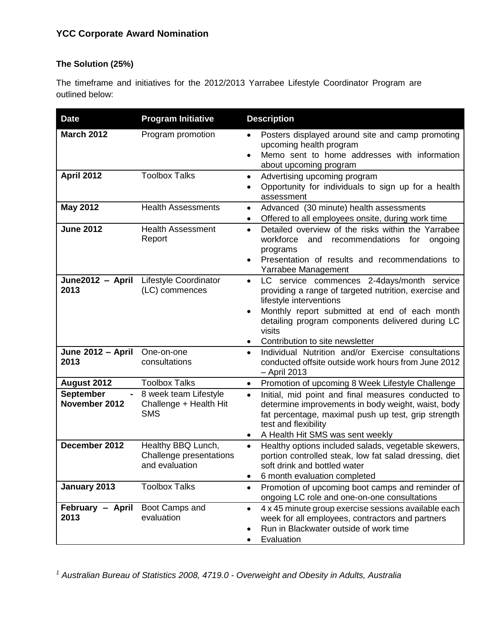### **The Solution (25%)**

The timeframe and initiatives for the 2012/2013 Yarrabee Lifestyle Coordinator Program are outlined below:

| <b>Date</b>                            | <b>Program Initiative</b>                                       | <b>Description</b>                                                                                                                                                                                                                                                                                         |
|----------------------------------------|-----------------------------------------------------------------|------------------------------------------------------------------------------------------------------------------------------------------------------------------------------------------------------------------------------------------------------------------------------------------------------------|
| <b>March 2012</b><br><b>April 2012</b> | Program promotion<br><b>Toolbox Talks</b>                       | Posters displayed around site and camp promoting<br>$\bullet$<br>upcoming health program<br>Memo sent to home addresses with information<br>about upcoming program                                                                                                                                         |
|                                        |                                                                 | Advertising upcoming program<br>$\bullet$<br>Opportunity for individuals to sign up for a health<br>$\bullet$<br>assessment                                                                                                                                                                                |
| <b>May 2012</b>                        | <b>Health Assessments</b>                                       | Advanced (30 minute) health assessments<br>$\bullet$<br>Offered to all employees onsite, during work time<br>$\bullet$                                                                                                                                                                                     |
| <b>June 2012</b>                       | <b>Health Assessment</b><br>Report                              | Detailed overview of the risks within the Yarrabee<br>$\bullet$<br>workforce<br>and<br>recommendations<br>for<br>ongoing<br>programs<br>Presentation of results and recommendations to<br>$\bullet$<br>Yarrabee Management                                                                                 |
| June2012 - April<br>2013               | Lifestyle Coordinator<br>(LC) commences                         | LC service commences 2-4days/month service<br>$\bullet$<br>providing a range of targeted nutrition, exercise and<br>lifestyle interventions<br>Monthly report submitted at end of each month<br>$\bullet$<br>detailing program components delivered during LC<br>visits<br>Contribution to site newsletter |
| June 2012 - April<br>2013              | One-on-one<br>consultations                                     | Individual Nutrition and/or Exercise consultations<br>$\bullet$<br>conducted offsite outside work hours from June 2012<br>- April 2013                                                                                                                                                                     |
| August 2012                            | <b>Toolbox Talks</b>                                            | Promotion of upcoming 8 Week Lifestyle Challenge<br>$\bullet$                                                                                                                                                                                                                                              |
| <b>September</b><br>November 2012      | 8 week team Lifestyle<br>Challenge + Health Hit<br><b>SMS</b>   | Initial, mid point and final measures conducted to<br>$\bullet$<br>determine improvements in body weight, waist, body<br>fat percentage, maximal push up test, grip strength<br>test and flexibility<br>A Health Hit SMS was sent weekly                                                                   |
| December 2012                          | Healthy BBQ Lunch,<br>Challenge presentations<br>and evaluation | Healthy options included salads, vegetable skewers,<br>$\bullet$<br>portion controlled steak, low fat salad dressing, diet<br>soft drink and bottled water<br>6 month evaluation completed<br>$\bullet$                                                                                                    |
| January 2013                           | <b>Toolbox Talks</b>                                            | Promotion of upcoming boot camps and reminder of<br>$\bullet$<br>ongoing LC role and one-on-one consultations                                                                                                                                                                                              |
| February - April<br>2013               | Boot Camps and<br>evaluation                                    | 4 x 45 minute group exercise sessions available each<br>$\bullet$<br>week for all employees, contractors and partners<br>Run in Blackwater outside of work time<br>Evaluation                                                                                                                              |

*<sup>1</sup> Australian Bureau of Statistics 2008, 4719.0 - Overweight and Obesity in Adults, Australia*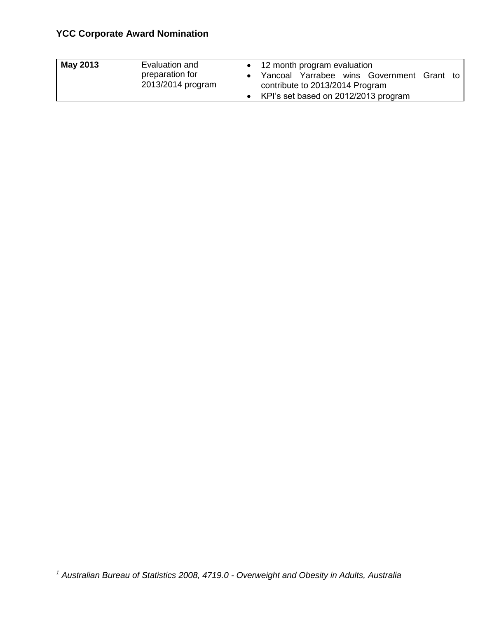| May 2013 | Evaluation and                       | • 12 month program evaluation                                                  |  |
|----------|--------------------------------------|--------------------------------------------------------------------------------|--|
|          | preparation for<br>2013/2014 program | • Yancoal Yarrabee wins Government Grant to<br>contribute to 2013/2014 Program |  |
|          |                                      | • KPI's set based on 2012/2013 program                                         |  |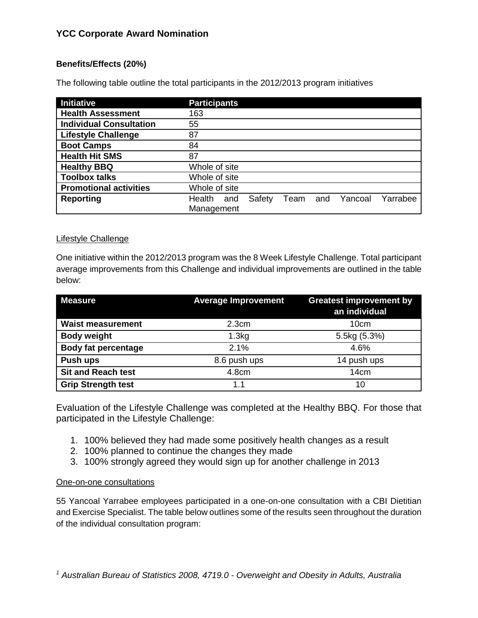## **Benefits/Effects (20%)**

The following table outline the total participants in the 2012/2013 program initiatives

| Initiative                     | <b>Participants</b>                                           |
|--------------------------------|---------------------------------------------------------------|
| <b>Health Assessment</b>       | 163                                                           |
| <b>Individual Consultation</b> | 55                                                            |
| <b>Lifestyle Challenge</b>     | 87                                                            |
| <b>Boot Camps</b>              | 84                                                            |
| <b>Health Hit SMS</b>          | 87                                                            |
| <b>Healthy BBQ</b>             | Whole of site                                                 |
| <b>Toolbox talks</b>           | Whole of site                                                 |
| <b>Promotional activities</b>  | Whole of site                                                 |
| <b>Reporting</b>               | Health<br>Yarrabee<br>Safety<br>Yancoal<br>Team<br>and<br>and |
|                                | Management                                                    |

#### Lifestyle Challenge

One initiative within the 2012/2013 program was the 8 Week Lifestyle Challenge. Total participant average improvements from this Challenge and individual improvements are outlined in the table below:

| <b>Measure</b>             | <b>Average Improvement</b> | <b>Greatest improvement by</b><br>an individual |
|----------------------------|----------------------------|-------------------------------------------------|
| <b>Waist measurement</b>   | 2.3cm                      | 10 <sub>cm</sub>                                |
| <b>Body weight</b>         | 1.3kg                      | 5.5kg (5.3%)                                    |
| <b>Body fat percentage</b> | 2.1%                       | 4.6%                                            |
| Push ups                   | 8.6 push ups               | 14 push ups                                     |
| <b>Sit and Reach test</b>  | 4.8cm                      | 14 <sub>cm</sub>                                |
| <b>Grip Strength test</b>  | 11                         | 10                                              |

Evaluation of the Lifestyle Challenge was completed at the Healthy BBQ. For those that participated in the Lifestyle Challenge:

- 1. 100% believed they had made some positively health changes as a result
- 2. 100% planned to continue the changes they made
- 3. 100% strongly agreed they would sign up for another challenge in 2013

#### One-on-one consultations

55 Yancoal Yarrabee employees participated in a one-on-one consultation with a CBI Dietitian and Exercise Specialist. The table below outlines some of the results seen throughout the duration of the individual consultation program: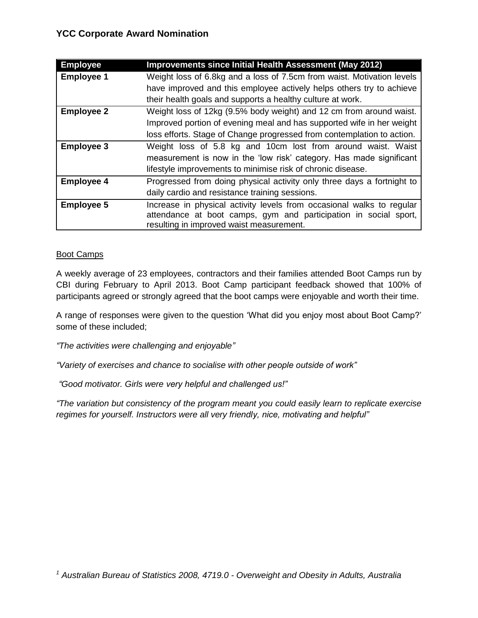| <b>Employee</b>   | <b>Improvements since Initial Health Assessment (May 2012)</b>         |
|-------------------|------------------------------------------------------------------------|
| <b>Employee 1</b> | Weight loss of 6.8kg and a loss of 7.5cm from waist. Motivation levels |
|                   | have improved and this employee actively helps others try to achieve   |
|                   | their health goals and supports a healthy culture at work.             |
| <b>Employee 2</b> | Weight loss of 12kg (9.5% body weight) and 12 cm from around waist.    |
|                   | Improved portion of evening meal and has supported wife in her weight  |
|                   | loss efforts. Stage of Change progressed from contemplation to action. |
| <b>Employee 3</b> | Weight loss of 5.8 kg and 10cm lost from around waist. Waist           |
|                   | measurement is now in the 'low risk' category. Has made significant    |
|                   | lifestyle improvements to minimise risk of chronic disease.            |
| <b>Employee 4</b> | Progressed from doing physical activity only three days a fortnight to |
|                   | daily cardio and resistance training sessions.                         |
| <b>Employee 5</b> | Increase in physical activity levels from occasional walks to regular  |
|                   | attendance at boot camps, gym and participation in social sport,       |
|                   | resulting in improved waist measurement.                               |

#### Boot Camps

A weekly average of 23 employees, contractors and their families attended Boot Camps run by CBI during February to April 2013. Boot Camp participant feedback showed that 100% of participants agreed or strongly agreed that the boot camps were enjoyable and worth their time.

A range of responses were given to the question 'What did you enjoy most about Boot Camp?' some of these included;

*"The activities were challenging and enjoyable"*

*"Variety of exercises and chance to socialise with other people outside of work"*

*"Good motivator. Girls were very helpful and challenged us!"*

*"The variation but consistency of the program meant you could easily learn to replicate exercise regimes for yourself. Instructors were all very friendly, nice, motivating and helpful"*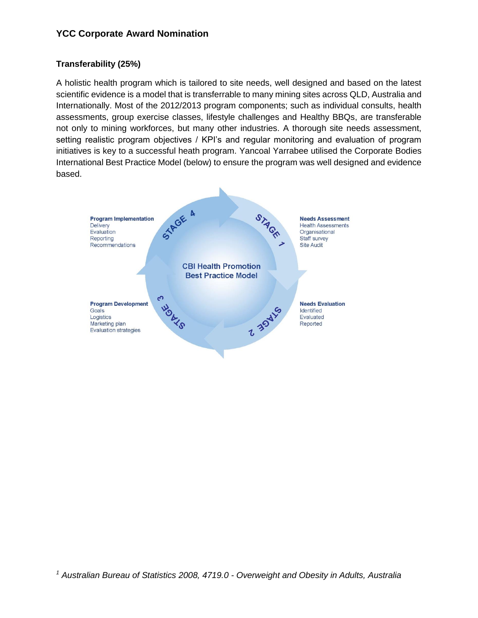## **Transferability (25%)**

A holistic health program which is tailored to site needs, well designed and based on the latest scientific evidence is a model that is transferrable to many mining sites across QLD, Australia and Internationally. Most of the 2012/2013 program components; such as individual consults, health assessments, group exercise classes, lifestyle challenges and Healthy BBQs, are transferable not only to mining workforces, but many other industries. A thorough site needs assessment, setting realistic program objectives / KPI's and regular monitoring and evaluation of program initiatives is key to a successful heath program. Yancoal Yarrabee utilised the Corporate Bodies International Best Practice Model (below) to ensure the program was well designed and evidence based.